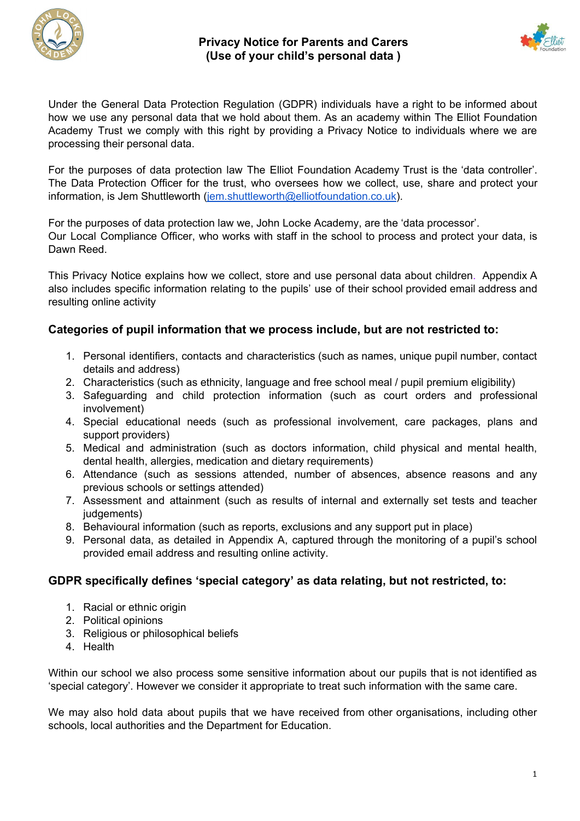



Under the General Data Protection Regulation (GDPR) individuals have a right to be informed about how we use any personal data that we hold about them. As an academy within The Elliot Foundation Academy Trust we comply with this right by providing a Privacy Notice to individuals where we are processing their personal data.

For the purposes of data protection law The Elliot Foundation Academy Trust is the 'data controller'. The Data Protection Officer for the trust, who oversees how we collect, use, share and protect your information, is Jem Shuttleworth ([jem.shuttleworth@elliotfoundation.co.uk\)](mailto:jem.shuttleworth@elliotfoundation.co.uk).

For the purposes of data protection law we, John Locke Academy, are the 'data processor'. Our Local Compliance Officer, who works with staff in the school to process and protect your data, is Dawn Reed.

This Privacy Notice explains how we collect, store and use personal data about children. Appendix A also includes specific information relating to the pupils' use of their school provided email address and resulting online activity

# **Categories of pupil information that we process include, but are not restricted to:**

- 1. Personal identifiers, contacts and characteristics (such as names, unique pupil number, contact details and address)
- 2. Characteristics (such as ethnicity, language and free school meal / pupil premium eligibility)
- 3. Safeguarding and child protection information (such as court orders and professional involvement)
- 4. Special educational needs (such as professional involvement, care packages, plans and support providers)
- 5. Medical and administration (such as doctors information, child physical and mental health, dental health, allergies, medication and dietary requirements)
- 6. Attendance (such as sessions attended, number of absences, absence reasons and any previous schools or settings attended)
- 7. Assessment and attainment (such as results of internal and externally set tests and teacher judgements)
- 8. Behavioural information (such as reports, exclusions and any support put in place)
- 9. Personal data, as detailed in Appendix A, captured through the monitoring of a pupil's school provided email address and resulting online activity.

# **GDPR specifically defines 'special category' as data relating, but not restricted, to:**

- 1. Racial or ethnic origin
- 2. Political opinions
- 3. Religious or philosophical beliefs
- 4. Health

Within our school we also process some sensitive information about our pupils that is not identified as 'special category'. However we consider it appropriate to treat such information with the same care.

We may also hold data about pupils that we have received from other organisations, including other schools, local authorities and the Department for Education.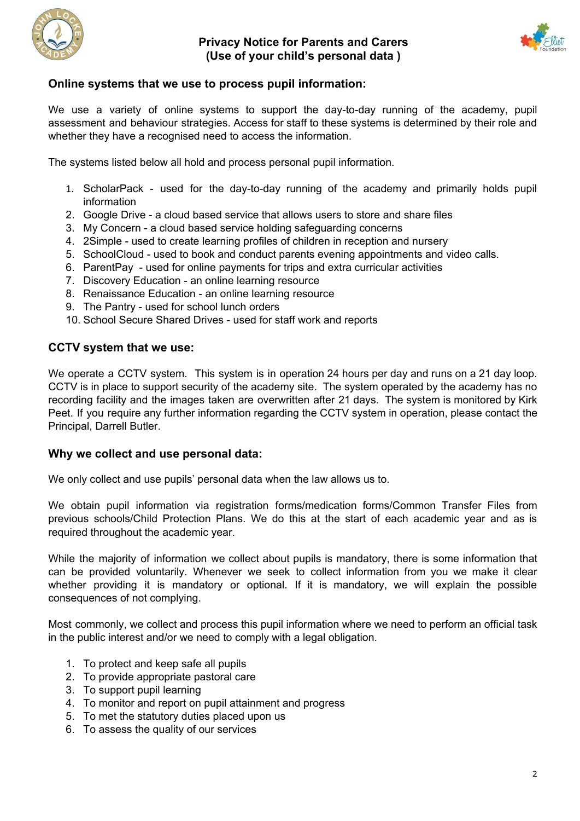



# **Online systems that we use to process pupil information:**

We use a variety of online systems to support the day-to-day running of the academy, pupil assessment and behaviour strategies. Access for staff to these systems is determined by their role and whether they have a recognised need to access the information.

The systems listed below all hold and process personal pupil information.

- 1. ScholarPack used for the day-to-day running of the academy and primarily holds pupil information
- 2. Google Drive a cloud based service that allows users to store and share files
- 3. My Concern a cloud based service holding safeguarding concerns
- 4. 2Simple used to create learning profiles of children in reception and nursery
- 5. SchoolCloud used to book and conduct parents evening appointments and video calls.
- 6. ParentPay used for online payments for trips and extra curricular activities
- 7. Discovery Education an online learning resource
- 8. Renaissance Education an online learning resource
- 9. The Pantry used for school lunch orders
- 10. School Secure Shared Drives used for staff work and reports

## **CCTV system that we use:**

We operate a CCTV system. This system is in operation 24 hours per day and runs on a 21 day loop. CCTV is in place to support security of the academy site. The system operated by the academy has no recording facility and the images taken are overwritten after 21 days. The system is monitored by Kirk Peet. If you require any further information regarding the CCTV system in operation, please contact the Principal, Darrell Butler.

### **Why we collect and use personal data:**

We only collect and use pupils' personal data when the law allows us to.

We obtain pupil information via registration forms/medication forms/Common Transfer Files from previous schools/Child Protection Plans. We do this at the start of each academic year and as is required throughout the academic year.

While the majority of information we collect about pupils is mandatory, there is some information that can be provided voluntarily. Whenever we seek to collect information from you we make it clear whether providing it is mandatory or optional. If it is mandatory, we will explain the possible consequences of not complying.

Most commonly, we collect and process this pupil information where we need to perform an official task in the public interest and/or we need to comply with a legal obligation.

- 1. To protect and keep safe all pupils
- 2. To provide appropriate pastoral care
- 3. To support pupil learning
- 4. To monitor and report on pupil attainment and progress
- 5. To met the statutory duties placed upon us
- 6. To assess the quality of our services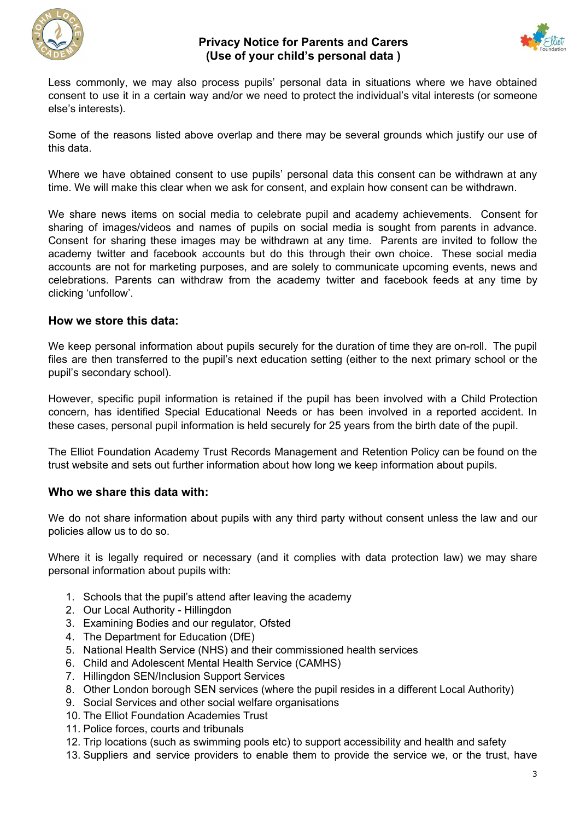



Less commonly, we may also process pupils' personal data in situations where we have obtained consent to use it in a certain way and/or we need to protect the individual's vital interests (or someone else's interests).

Some of the reasons listed above overlap and there may be several grounds which justify our use of this data.

Where we have obtained consent to use pupils' personal data this consent can be withdrawn at any time. We will make this clear when we ask for consent, and explain how consent can be withdrawn.

We share news items on social media to celebrate pupil and academy achievements. Consent for sharing of images/videos and names of pupils on social media is sought from parents in advance. Consent for sharing these images may be withdrawn at any time. Parents are invited to follow the academy twitter and facebook accounts but do this through their own choice. These social media accounts are not for marketing purposes, and are solely to communicate upcoming events, news and celebrations. Parents can withdraw from the academy twitter and facebook feeds at any time by clicking 'unfollow'.

## **How we store this data:**

We keep personal information about pupils securely for the duration of time they are on-roll. The pupil files are then transferred to the pupil's next education setting (either to the next primary school or the pupil's secondary school).

However, specific pupil information is retained if the pupil has been involved with a Child Protection concern, has identified Special Educational Needs or has been involved in a reported accident. In these cases, personal pupil information is held securely for 25 years from the birth date of the pupil.

The Elliot Foundation Academy Trust Records Management and Retention Policy can be found on the trust website and sets out further information about how long we keep information about pupils.

# **Who we share this data with:**

We do not share information about pupils with any third party without consent unless the law and our policies allow us to do so.

Where it is legally required or necessary (and it complies with data protection law) we may share personal information about pupils with:

- 1. Schools that the pupil's attend after leaving the academy
- 2. Our Local Authority Hillingdon
- 3. Examining Bodies and our regulator, Ofsted
- 4. The Department for Education (DfE)
- 5. National Health Service (NHS) and their commissioned health services
- 6. Child and Adolescent Mental Health Service (CAMHS)
- 7. Hillingdon SEN/Inclusion Support Services
- 8. Other London borough SEN services (where the pupil resides in a different Local Authority)
- 9. Social Services and other social welfare organisations
- 10. The Elliot Foundation Academies Trust
- 11. Police forces, courts and tribunals
- 12. Trip locations (such as swimming pools etc) to support accessibility and health and safety
- 13. Suppliers and service providers to enable them to provide the service we, or the trust, have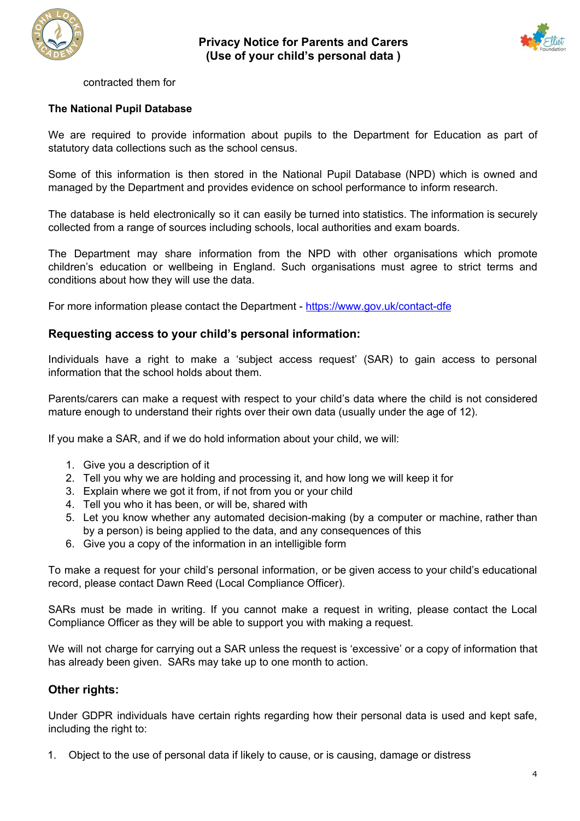



#### contracted them for

### **The National Pupil Database**

We are required to provide information about pupils to the Department for Education as part of statutory data collections such as the school census.

Some of this information is then stored in the National Pupil Database (NPD) which is owned and managed by the Department and provides evidence on school performance to inform research.

The database is held electronically so it can easily be turned into statistics. The information is securely collected from a range of sources including schools, local authorities and exam boards.

The Department may share information from the NPD with other organisations which promote children's education or wellbeing in England. Such organisations must agree to strict terms and conditions about how they will use the data.

For more information please contact the Department - <https://www.gov.uk/contact-dfe>

## **Requesting access to your child's personal information:**

Individuals have a right to make a 'subject access request' (SAR) to gain access to personal information that the school holds about them.

Parents/carers can make a request with respect to your child's data where the child is not considered mature enough to understand their rights over their own data (usually under the age of 12).

If you make a SAR, and if we do hold information about your child, we will:

- 1. Give you a description of it
- 2. Tell you why we are holding and processing it, and how long we will keep it for
- 3. Explain where we got it from, if not from you or your child
- 4. Tell you who it has been, or will be, shared with
- 5. Let you know whether any automated decision-making (by a computer or machine, rather than by a person) is being applied to the data, and any consequences of this
- 6. Give you a copy of the information in an intelligible form

To make a request for your child's personal information, or be given access to your child's educational record, please contact Dawn Reed (Local Compliance Officer).

SARs must be made in writing. If you cannot make a request in writing, please contact the Local Compliance Officer as they will be able to support you with making a request.

We will not charge for carrying out a SAR unless the request is 'excessive' or a copy of information that has already been given. SARs may take up to one month to action.

# **Other rights:**

Under GDPR individuals have certain rights regarding how their personal data is used and kept safe, including the right to:

1. Object to the use of personal data if likely to cause, or is causing, damage or distress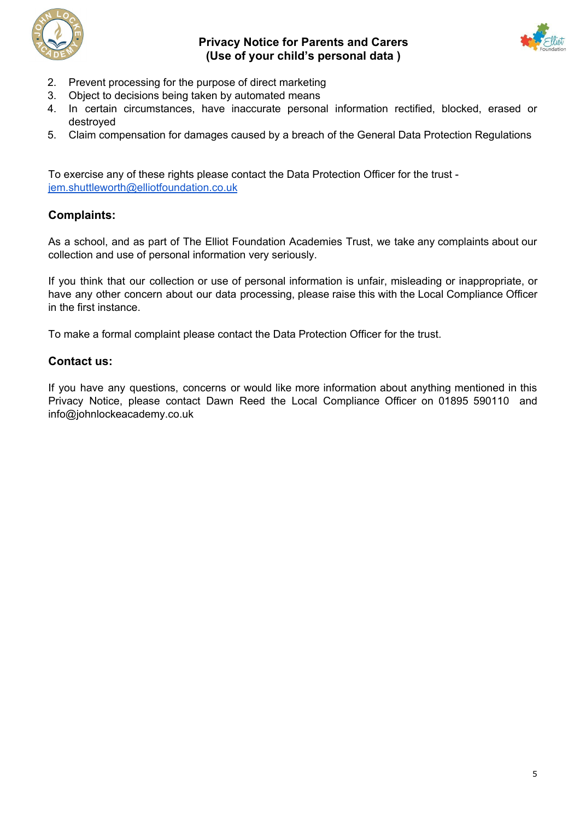



- 2. Prevent processing for the purpose of direct marketing
- 3. Object to decisions being taken by automated means
- 4. In certain circumstances, have inaccurate personal information rectified, blocked, erased or destroyed
- 5. Claim compensation for damages caused by a breach of the General Data Protection Regulations

To exercise any of these rights please contact the Data Protection Officer for the trust [jem.shuttleworth@elliotfoundation.co.uk](mailto:jem.shuttleworth@elliotfoundation.co.uk)

# **Complaints:**

As a school, and as part of The Elliot Foundation Academies Trust, we take any complaints about our collection and use of personal information very seriously.

If you think that our collection or use of personal information is unfair, misleading or inappropriate, or have any other concern about our data processing, please raise this with the Local Compliance Officer in the first instance.

To make a formal complaint please contact the Data Protection Officer for the trust.

# **Contact us:**

If you have any questions, concerns or would like more information about anything mentioned in this Privacy Notice, please contact Dawn Reed the Local Compliance Officer on 01895 590110 and info@johnlockeacademy.co.uk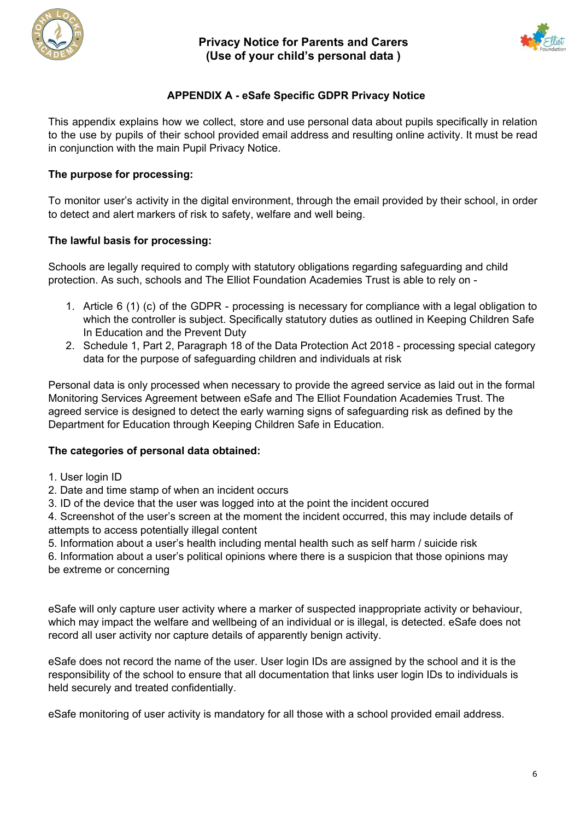



# **APPENDIX A - eSafe Specific GDPR Privacy Notice**

This appendix explains how we collect, store and use personal data about pupils specifically in relation to the use by pupils of their school provided email address and resulting online activity. It must be read in conjunction with the main Pupil Privacy Notice.

## **The purpose for processing:**

To monitor user's activity in the digital environment, through the email provided by their school, in order to detect and alert markers of risk to safety, welfare and well being.

## **The lawful basis for processing:**

Schools are legally required to comply with statutory obligations regarding safeguarding and child protection. As such, schools and The Elliot Foundation Academies Trust is able to rely on -

- 1. Article 6 (1) (c) of the GDPR processing is necessary for compliance with a legal obligation to which the controller is subject. Specifically statutory duties as outlined in Keeping Children Safe In Education and the Prevent Duty
- 2. Schedule 1, Part 2, Paragraph 18 of the Data Protection Act 2018 processing special category data for the purpose of safeguarding children and individuals at risk

Personal data is only processed when necessary to provide the agreed service as laid out in the formal Monitoring Services Agreement between eSafe and The Elliot Foundation Academies Trust. The agreed service is designed to detect the early warning signs of safeguarding risk as defined by the Department for Education through Keeping Children Safe in Education.

### **The categories of personal data obtained:**

- 1. User login ID
- 2. Date and time stamp of when an incident occurs
- 3. ID of the device that the user was logged into at the point the incident occured

4. Screenshot of the user's screen at the moment the incident occurred, this may include details of attempts to access potentially illegal content

5. Information about a user's health including mental health such as self harm / suicide risk

6. Information about a user's political opinions where there is a suspicion that those opinions may be extreme or concerning

eSafe will only capture user activity where a marker of suspected inappropriate activity or behaviour, which may impact the welfare and wellbeing of an individual or is illegal, is detected. eSafe does not record all user activity nor capture details of apparently benign activity.

eSafe does not record the name of the user. User login IDs are assigned by the school and it is the responsibility of the school to ensure that all documentation that links user login IDs to individuals is held securely and treated confidentially.

eSafe monitoring of user activity is mandatory for all those with a school provided email address.